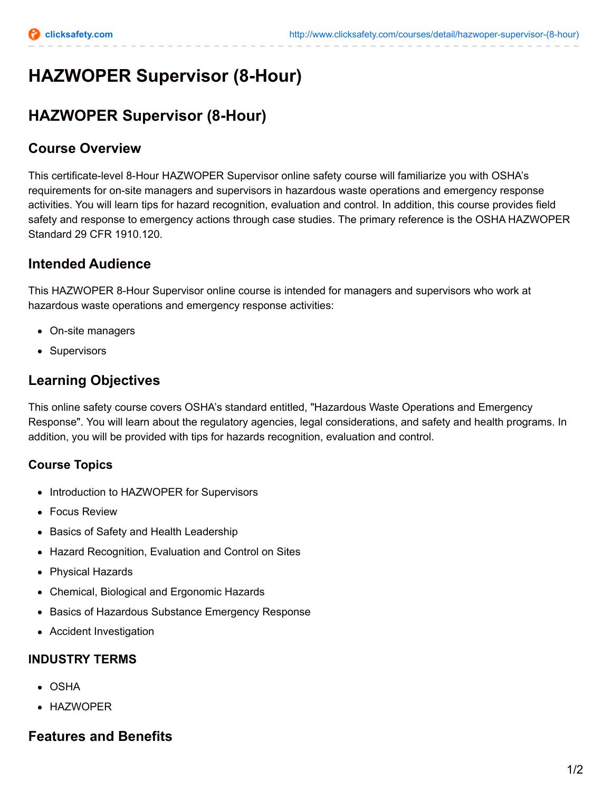# **HAZWOPER Supervisor (8-Hour)**

## **HAZWOPER Supervisor (8-Hour)**

#### **Course Overview**

This certificate-level 8-Hour HAZWOPER Supervisor online safety course will familiarize you with OSHA's requirements for on-site managers and supervisors in hazardous waste operations and emergency response activities. You will learn tips for hazard recognition, evaluation and control. In addition, this course provides field safety and response to emergency actions through case studies. The primary reference is the OSHA HAZWOPER Standard 29 CFR 1910.120.

## **Intended Audience**

This HAZWOPER 8-Hour Supervisor online course is intended for managers and supervisors who work at hazardous waste operations and emergency response activities:

- On-site managers
- Supervisors

## **Learning Objectives**

This online safety course covers OSHA's standard entitled, "Hazardous Waste Operations and Emergency Response". You will learn about the regulatory agencies, legal considerations, and safety and health programs. In addition, you will be provided with tips for hazards recognition, evaluation and control.

#### **Course Topics**

- Introduction to HAZWOPER for Supervisors
- Focus Review
- Basics of Safety and Health Leadership
- Hazard Recognition, Evaluation and Control on Sites
- Physical Hazards
- Chemical, Biological and Ergonomic Hazards
- Basics of Hazardous Substance Emergency Response
- Accident Investigation

#### **INDUSTRY TERMS**

- OSHA
- HAZWOPER

## **Features and Benefits**